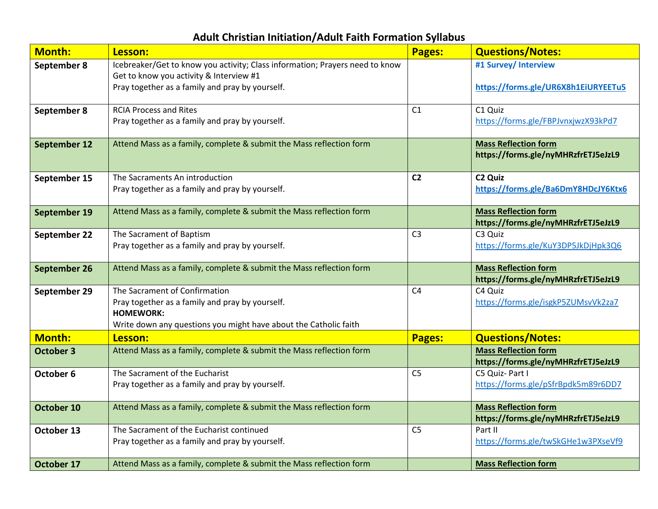| <b>Month:</b>    | Lesson:                                                                      | Pages:         | <b>Questions/Notes:</b>                                            |
|------------------|------------------------------------------------------------------------------|----------------|--------------------------------------------------------------------|
| September 8      | Icebreaker/Get to know you activity; Class information; Prayers need to know |                | #1 Survey/ Interview                                               |
|                  | Get to know you activity & Interview #1                                      |                |                                                                    |
|                  | Pray together as a family and pray by yourself.                              |                | https://forms.gle/UR6X8h1EiURYEETu5                                |
| September 8      | <b>RCIA Process and Rites</b>                                                | C1             | C1 Quiz                                                            |
|                  | Pray together as a family and pray by yourself.                              |                | https://forms.gle/FBPJvnxjwzX93kPd7                                |
| September 12     | Attend Mass as a family, complete & submit the Mass reflection form          |                | <b>Mass Reflection form</b>                                        |
|                  |                                                                              |                | https://forms.gle/nyMHRzfrETJ5eJzL9                                |
| September 15     | The Sacraments An introduction                                               | C <sub>2</sub> | C <sub>2</sub> Quiz                                                |
|                  | Pray together as a family and pray by yourself.                              |                | https://forms.gle/Ba6DmY8HDcJY6Ktx6                                |
| September 19     | Attend Mass as a family, complete & submit the Mass reflection form          |                | <b>Mass Reflection form</b>                                        |
|                  |                                                                              |                | https://forms.gle/nyMHRzfrETJ5eJzL9                                |
| September 22     | The Sacrament of Baptism                                                     | C <sub>3</sub> | C3 Quiz                                                            |
|                  | Pray together as a family and pray by yourself.                              |                | https://forms.gle/KuY3DP5JkDjHpk3Q6                                |
| September 26     | Attend Mass as a family, complete & submit the Mass reflection form          |                | <b>Mass Reflection form</b>                                        |
|                  |                                                                              |                | https://forms.gle/nyMHRzfrETJ5eJzL9                                |
| September 29     | The Sacrament of Confirmation                                                | C <sub>4</sub> | C4 Quiz                                                            |
|                  | Pray together as a family and pray by yourself.                              |                | https://forms.gle/isgkP5ZUMsvVk2za7                                |
|                  | <b>HOMEWORK:</b>                                                             |                |                                                                    |
|                  | Write down any questions you might have about the Catholic faith             |                |                                                                    |
| <b>Month:</b>    | Lesson:                                                                      | <b>Pages:</b>  | <b>Questions/Notes:</b>                                            |
| <b>October 3</b> | Attend Mass as a family, complete & submit the Mass reflection form          |                | <b>Mass Reflection form</b>                                        |
|                  |                                                                              |                | https://forms.gle/nyMHRzfrETJ5eJzL9                                |
| October 6        | The Sacrament of the Eucharist                                               | C <sub>5</sub> | C5 Quiz- Part I                                                    |
|                  | Pray together as a family and pray by yourself.                              |                | https://forms.gle/pSfrBpdk5m89r6DD7                                |
|                  |                                                                              |                |                                                                    |
| October 10       | Attend Mass as a family, complete & submit the Mass reflection form          |                | <b>Mass Reflection form</b><br>https://forms.gle/nyMHRzfrETJ5eJzL9 |
| October 13       | The Sacrament of the Eucharist continued                                     | C <sub>5</sub> | Part II                                                            |
|                  | Pray together as a family and pray by yourself.                              |                | https://forms.gle/twSkGHe1w3PXseVf9                                |
|                  |                                                                              |                |                                                                    |
| October 17       | Attend Mass as a family, complete & submit the Mass reflection form          |                | <b>Mass Reflection form</b>                                        |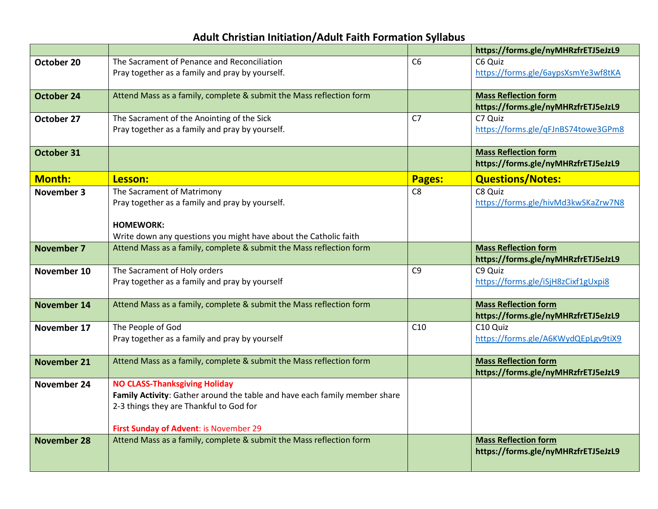|                    |                                                                            |                | https://forms.gle/nyMHRzfrETJ5eJzL9 |
|--------------------|----------------------------------------------------------------------------|----------------|-------------------------------------|
| October 20         | The Sacrament of Penance and Reconciliation                                | C <sub>6</sub> | C6 Quiz                             |
|                    | Pray together as a family and pray by yourself.                            |                | https://forms.gle/6aypsXsmYe3wf8tKA |
|                    |                                                                            |                |                                     |
| <b>October 24</b>  | Attend Mass as a family, complete & submit the Mass reflection form        |                | <b>Mass Reflection form</b>         |
|                    |                                                                            |                | https://forms.gle/nyMHRzfrETJ5eJzL9 |
| October 27         | The Sacrament of the Anointing of the Sick                                 | C <sub>7</sub> | C7 Quiz                             |
|                    | Pray together as a family and pray by yourself.                            |                | https://forms.gle/qFJnBS74towe3GPm8 |
|                    |                                                                            |                |                                     |
| <b>October 31</b>  |                                                                            |                | <b>Mass Reflection form</b>         |
|                    |                                                                            |                | https://forms.gle/nyMHRzfrETJ5eJzL9 |
| <b>Month:</b>      | Lesson:                                                                    | <b>Pages:</b>  | <b>Questions/Notes:</b>             |
| November 3         | The Sacrament of Matrimony                                                 | C <sub>8</sub> | C8 Quiz                             |
|                    | Pray together as a family and pray by yourself.                            |                | https://forms.gle/hivMd3kwSKaZrw7N8 |
|                    |                                                                            |                |                                     |
|                    | <b>HOMEWORK:</b>                                                           |                |                                     |
|                    | Write down any questions you might have about the Catholic faith           |                |                                     |
| <b>November 7</b>  | Attend Mass as a family, complete & submit the Mass reflection form        |                | <b>Mass Reflection form</b>         |
|                    |                                                                            |                | https://forms.gle/nyMHRzfrETJ5eJzL9 |
| November 10        | The Sacrament of Holy orders                                               | C <sub>9</sub> | C9 Quiz                             |
|                    | Pray together as a family and pray by yourself                             |                | https://forms.gle/iSjH8zCixf1gUxpi8 |
|                    |                                                                            |                |                                     |
| <b>November 14</b> | Attend Mass as a family, complete & submit the Mass reflection form        |                | <b>Mass Reflection form</b>         |
|                    |                                                                            |                | https://forms.gle/nyMHRzfrETJ5eJzL9 |
| November 17        | The People of God                                                          | C10            | C10 Quiz                            |
|                    | Pray together as a family and pray by yourself                             |                | https://forms.gle/A6KWydQEpLgv9tiX9 |
|                    |                                                                            |                |                                     |
| <b>November 21</b> | Attend Mass as a family, complete & submit the Mass reflection form        |                | <b>Mass Reflection form</b>         |
|                    |                                                                            |                | https://forms.gle/nyMHRzfrETJ5eJzL9 |
| November 24        | <b>NO CLASS-Thanksgiving Holiday</b>                                       |                |                                     |
|                    | Family Activity: Gather around the table and have each family member share |                |                                     |
|                    | 2-3 things they are Thankful to God for                                    |                |                                     |
|                    |                                                                            |                |                                     |
|                    | First Sunday of Advent: is November 29                                     |                |                                     |
| <b>November 28</b> | Attend Mass as a family, complete & submit the Mass reflection form        |                | <b>Mass Reflection form</b>         |
|                    |                                                                            |                | https://forms.gle/nyMHRzfrETJ5eJzL9 |
|                    |                                                                            |                |                                     |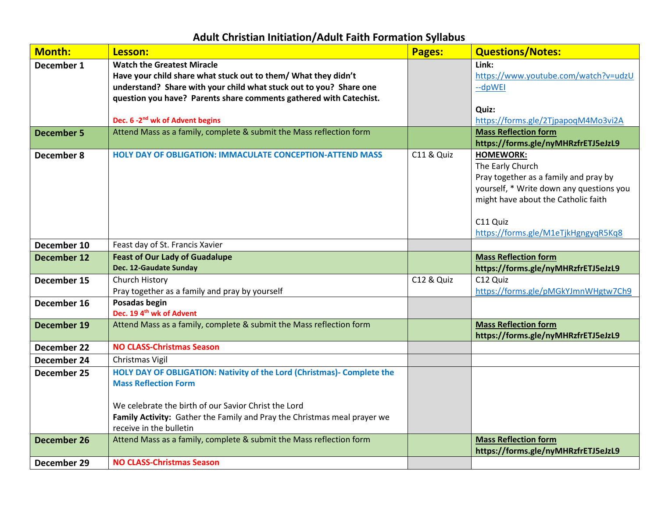| <b>Month:</b>      | Lesson:                                                                  | Pages:                | <b>Questions/Notes:</b>                  |
|--------------------|--------------------------------------------------------------------------|-----------------------|------------------------------------------|
| December 1         | <b>Watch the Greatest Miracle</b>                                        |                       | Link:                                    |
|                    | Have your child share what stuck out to them/ What they didn't           |                       | https://www.youtube.com/watch?v=udzU     |
|                    | understand? Share with your child what stuck out to you? Share one       |                       | --dpWEI                                  |
|                    | question you have? Parents share comments gathered with Catechist.       |                       |                                          |
|                    |                                                                          |                       | Quiz:                                    |
|                    | Dec. 6 -2 <sup>nd</sup> wk of Advent begins                              |                       | https://forms.gle/2TjpapoqM4Mo3vi2A      |
| <b>December 5</b>  | Attend Mass as a family, complete & submit the Mass reflection form      |                       | <b>Mass Reflection form</b>              |
|                    |                                                                          |                       | https://forms.gle/nyMHRzfrETJ5eJzL9      |
| December 8         | <b>HOLY DAY OF OBLIGATION: IMMACULATE CONCEPTION-ATTEND MASS</b>         | C11 & Quiz            | <b>HOMEWORK:</b>                         |
|                    |                                                                          |                       | The Early Church                         |
|                    |                                                                          |                       | Pray together as a family and pray by    |
|                    |                                                                          |                       | yourself, * Write down any questions you |
|                    |                                                                          |                       | might have about the Catholic faith      |
|                    |                                                                          |                       |                                          |
|                    |                                                                          |                       | C11 Quiz                                 |
|                    |                                                                          |                       | https://forms.gle/M1eTjkHgngyqR5Kq8      |
| December 10        | Feast day of St. Francis Xavier                                          |                       |                                          |
| <b>December 12</b> | <b>Feast of Our Lady of Guadalupe</b>                                    |                       | <b>Mass Reflection form</b>              |
|                    | Dec. 12-Gaudate Sunday                                                   |                       | https://forms.gle/nyMHRzfrETJ5eJzL9      |
| December 15        | Church History                                                           | <b>C12 &amp; Quiz</b> | C12 Quiz                                 |
|                    | Pray together as a family and pray by yourself                           |                       | https://forms.gle/pMGkYJmnWHgtw7Ch9      |
| December 16        | Posadas begin<br>Dec. 194 <sup>th</sup> wk of Advent                     |                       |                                          |
| December 19        | Attend Mass as a family, complete & submit the Mass reflection form      |                       | <b>Mass Reflection form</b>              |
|                    |                                                                          |                       | https://forms.gle/nyMHRzfrETJ5eJzL9      |
| December 22        | <b>NO CLASS-Christmas Season</b>                                         |                       |                                          |
| December 24        | Christmas Vigil                                                          |                       |                                          |
| December 25        | HOLY DAY OF OBLIGATION: Nativity of the Lord (Christmas)- Complete the   |                       |                                          |
|                    | <b>Mass Reflection Form</b>                                              |                       |                                          |
|                    |                                                                          |                       |                                          |
|                    | We celebrate the birth of our Savior Christ the Lord                     |                       |                                          |
|                    | Family Activity: Gather the Family and Pray the Christmas meal prayer we |                       |                                          |
|                    | receive in the bulletin                                                  |                       |                                          |
| <b>December 26</b> | Attend Mass as a family, complete & submit the Mass reflection form      |                       | <b>Mass Reflection form</b>              |
|                    |                                                                          |                       | https://forms.gle/nyMHRzfrETJ5eJzL9      |
| December 29        | <b>NO CLASS-Christmas Season</b>                                         |                       |                                          |
|                    |                                                                          |                       |                                          |